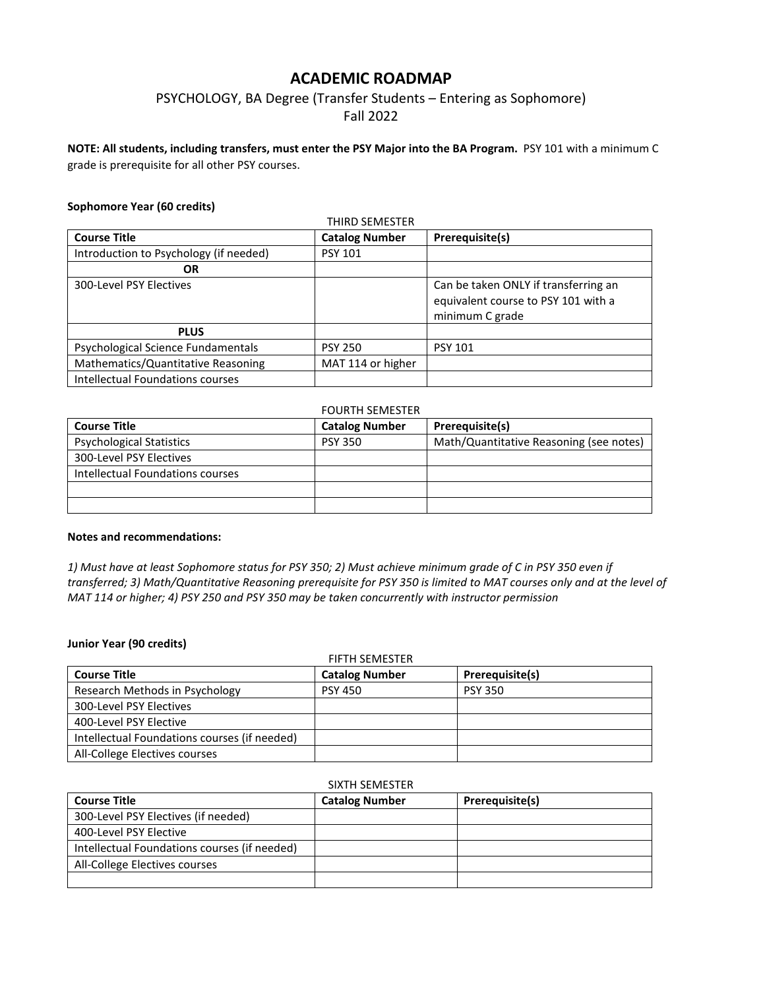# **ACADEMIC ROADMAP**

# PSYCHOLOGY, BA Degree (Transfer Students – Entering as Sophomore) Fall 2022

**NOTE: All students, including transfers, must enter the PSY Major into the BA Program.** PSY 101 with a minimum C grade is prerequisite for all other PSY courses.

## **Sophomore Year (60 credits)**

| THIRD SEMESTER                         |                       |                                                                                                |
|----------------------------------------|-----------------------|------------------------------------------------------------------------------------------------|
| <b>Course Title</b>                    | <b>Catalog Number</b> | Prerequisite(s)                                                                                |
| Introduction to Psychology (if needed) | <b>PSY 101</b>        |                                                                                                |
| OR                                     |                       |                                                                                                |
| 300-Level PSY Electives                |                       | Can be taken ONLY if transferring an<br>equivalent course to PSY 101 with a<br>minimum C grade |
| <b>PLUS</b>                            |                       |                                                                                                |
| Psychological Science Fundamentals     | <b>PSY 250</b>        | <b>PSY 101</b>                                                                                 |
| Mathematics/Quantitative Reasoning     | MAT 114 or higher     |                                                                                                |
| Intellectual Foundations courses       |                       |                                                                                                |

## FOURTH SEMESTER

| <b>Course Title</b>              | <b>Catalog Number</b> | Prerequisite(s)                         |
|----------------------------------|-----------------------|-----------------------------------------|
| <b>Psychological Statistics</b>  | <b>PSY 350</b>        | Math/Quantitative Reasoning (see notes) |
| 300-Level PSY Electives          |                       |                                         |
| Intellectual Foundations courses |                       |                                         |
|                                  |                       |                                         |
|                                  |                       |                                         |

## **Notes and recommendations:**

*1) Must have at least Sophomore status for PSY 350; 2) Must achieve minimum grade of C in PSY 350 even if transferred; 3) Math/Quantitative Reasoning prerequisite for PSY 350 is limited to MAT courses only and at the level of MAT 114 or higher; 4) PSY 250 and PSY 350 may be taken concurrently with instructor permission*

# **Junior Year (90 credits)**

| <b>FIFTH SEMESTER</b>                        |                       |                 |
|----------------------------------------------|-----------------------|-----------------|
| <b>Course Title</b>                          | <b>Catalog Number</b> | Prerequisite(s) |
| Research Methods in Psychology               | <b>PSY 450</b>        | <b>PSY 350</b>  |
| 300-Level PSY Electives                      |                       |                 |
| 400-Level PSY Elective                       |                       |                 |
| Intellectual Foundations courses (if needed) |                       |                 |
| All-College Electives courses                |                       |                 |

### SIXTH SEMESTER

| <b>Course Title</b>                          | <b>Catalog Number</b> | Prerequisite(s) |
|----------------------------------------------|-----------------------|-----------------|
| 300-Level PSY Electives (if needed)          |                       |                 |
| 400-Level PSY Elective                       |                       |                 |
| Intellectual Foundations courses (if needed) |                       |                 |
| All-College Electives courses                |                       |                 |
|                                              |                       |                 |